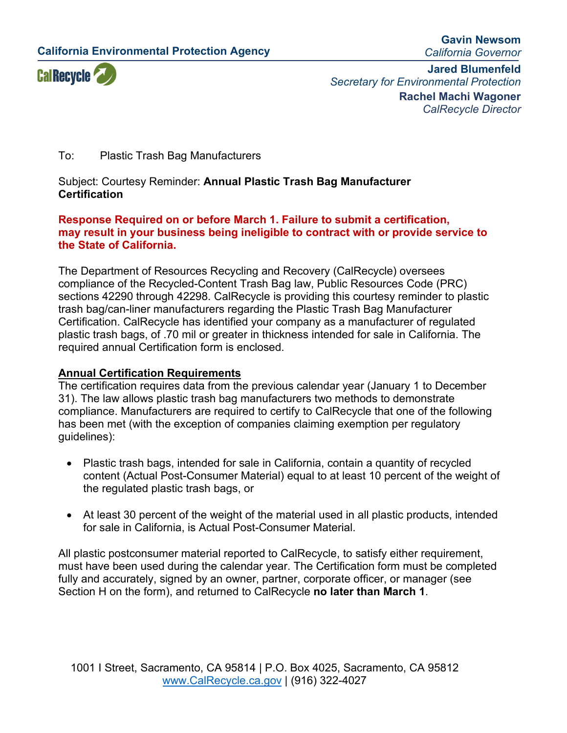**California Environmental Protection Agency**

**Gavin Newsom** *California Governor*



**Jared Blumenfeld** *Secretary for Environmental Protection* **Rachel Machi Wagoner** *CalRecycle Director*

### To: Plastic Trash Bag Manufacturers

Subject: Courtesy Reminder: **Annual Plastic Trash Bag Manufacturer Certification**

#### **Response Required on or before March 1. Failure to submit a certification, may result in your business being ineligible to contract with or provide service to the State of California.**

The Department of Resources Recycling and Recovery (CalRecycle) oversees compliance of the Recycled-Content Trash Bag law, Public Resources Code (PRC) sections 42290 through 42298. CalRecycle is providing this courtesy reminder to plastic trash bag/can-liner manufacturers regarding the Plastic Trash Bag Manufacturer Certification. CalRecycle has identified your company as a manufacturer of regulated plastic trash bags, of .70 mil or greater in thickness intended for sale in California. The required annual Certification form is enclosed.

#### **Annual Certification Requirements**

The certification requires data from the previous calendar year (January 1 to December 31). The law allows plastic trash bag manufacturers two methods to demonstrate compliance. Manufacturers are required to certify to CalRecycle that one of the following has been met (with the exception of companies claiming exemption per regulatory guidelines):

- Plastic trash bags, intended for sale in California, contain a quantity of recycled content (Actual Post-Consumer Material) equal to at least 10 percent of the weight of the regulated plastic trash bags, or
- At least 30 percent of the weight of the material used in all plastic products, intended for sale in California, is Actual Post-Consumer Material.

All plastic postconsumer material reported to CalRecycle, to satisfy either requirement, must have been used during the calendar year. The Certification form must be completed fully and accurately, signed by an owner, partner, corporate officer, or manager (see Section H on the form), and returned to CalRecycle **no later than March 1**.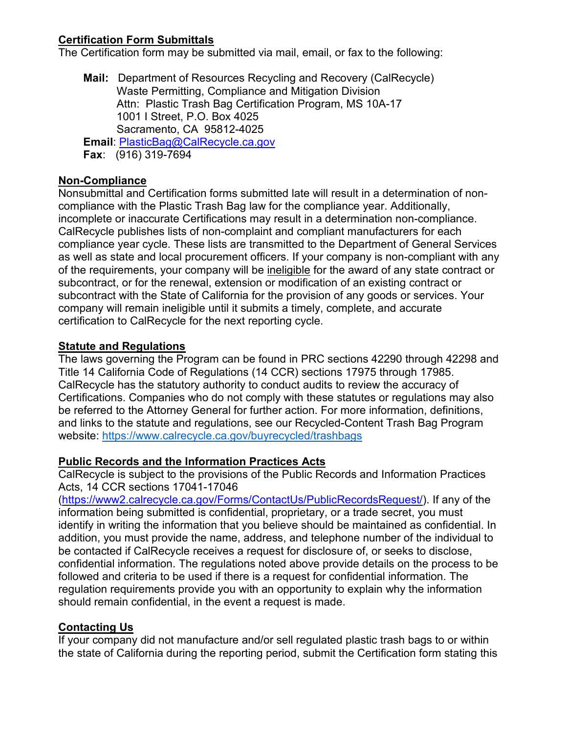# **Certification Form Submittals**

The Certification form may be submitted via mail, email, or fax to the following:

**Mail:** Department of Resources Recycling and Recovery (CalRecycle) Waste Permitting, Compliance and Mitigation Division Attn: Plastic Trash Bag Certification Program, MS 10A-17 1001 I Street, P.O. Box 4025 Sacramento, CA 95812-4025 **Email**: [PlasticBag@CalRecycle.ca.gov](mailto:PlasticBag@CalRecycle.ca.gov) **Fax**: (916) 319-7694

### **Non-Compliance**

Nonsubmittal and Certification forms submitted late will result in a determination of noncompliance with the Plastic Trash Bag law for the compliance year. Additionally, incomplete or inaccurate Certifications may result in a determination non-compliance. CalRecycle publishes lists of non-complaint and compliant manufacturers for each compliance year cycle*.* These lists are transmitted to the Department of General Services as well as state and local procurement officers. If your company is non-compliant with any of the requirements, your company will be ineligible for the award of any state contract or subcontract, or for the renewal, extension or modification of an existing contract or subcontract with the State of California for the provision of any goods or services. Your company will remain ineligible until it submits a timely, complete, and accurate certification to CalRecycle for the next reporting cycle.

### **Statute and Regulations**

The laws governing the Program can be found in PRC sections 42290 through 42298 and Title 14 California Code of Regulations (14 CCR) sections 17975 through 17985. CalRecycle has the statutory authority to conduct audits to review the accuracy of Certifications. Companies who do not comply with these statutes or regulations may also be referred to the Attorney General for further action. For more information, definitions, and links to the statute and regulations, see our Recycled-Content Trash Bag Program website:<https://www.calrecycle.ca.gov/buyrecycled/trashbags>

# **Public Records and the Information Practices Acts**

CalRecycle is subject to the provisions of the Public Records and Information Practices Acts, 14 CCR sections 17041-17046

(https://www2.calrecycle.ca.gov/Forms/ContactUs/PublicRecordsRequest/). If any of the information being submitted is confidential, proprietary, or a trade secret, you must identify in writing the information that you believe should be maintained as confidential. In addition, you must provide the name, address, and telephone number of the individual to be contacted if CalRecycle receives a request for disclosure of, or seeks to disclose, confidential information. The regulations noted above provide details on the process to be followed and criteria to be used if there is a request for confidential information. The regulation requirements provide you with an opportunity to explain why the information should remain confidential, in the event a request is made.

# **Contacting Us**

If your company did not manufacture and/or sell regulated plastic trash bags to or within the state of California during the reporting period, submit the Certification form stating this